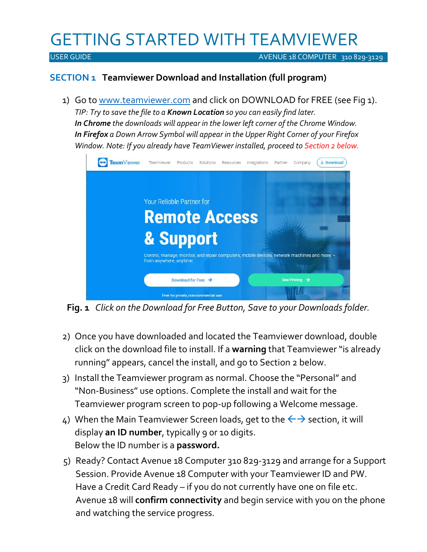# GETTING STARTED WITH TEAMVIEWER

USER GUIDE AVENUE 18 COMPUTER 310 829-3129

### **SECTION 1 Teamviewer Download and Installation (full program)**

1) Go to www.teamviewer.com and click on DOWNLOAD for FREE (see Fig 1). *TIP: Try to save the file to a Known Location so you can easily find later. In Chrome the downloads will appear in the lower left corner of the Chrome Window. In Firefox a Down Arrow Symbol will appear in the Upper Right Corner of your Firefox Window. Note: If you already have TeamViewer installed, proceed to Section 2 below.*



**Fig. 1** *Click on the Download for Free Button, Save to your Downloads folder.*

- 2) Once you have downloaded and located the Teamviewer download, double click on the download file to install. If a **warning** that Teamviewer "is already running" appears, cancel the install, and go to Section 2 below.
- 3) Install the Teamviewer program as normal. Choose the "Personal" and "Non-Business" use options. Complete the install and wait for the Teamviewer program screen to pop-up following a Welcome message.
- 4) When the Main Teamviewer Screen loads, get to the  $\leftrightarrow$  section, it will display **an ID number**, typically 9 0r 10 digits. Below the ID number is a **password.**
- 5) Ready? Contact Avenue 18 Computer 310 829-3129 and arrange for a Support Session. Provide Avenue 18 Computer with your Teamviewer ID and PW. Have a Credit Card Ready – if you do not currently have one on file etc. Avenue 18 will **confirm connectivity** and begin service with you on the phone and watching the service progress.